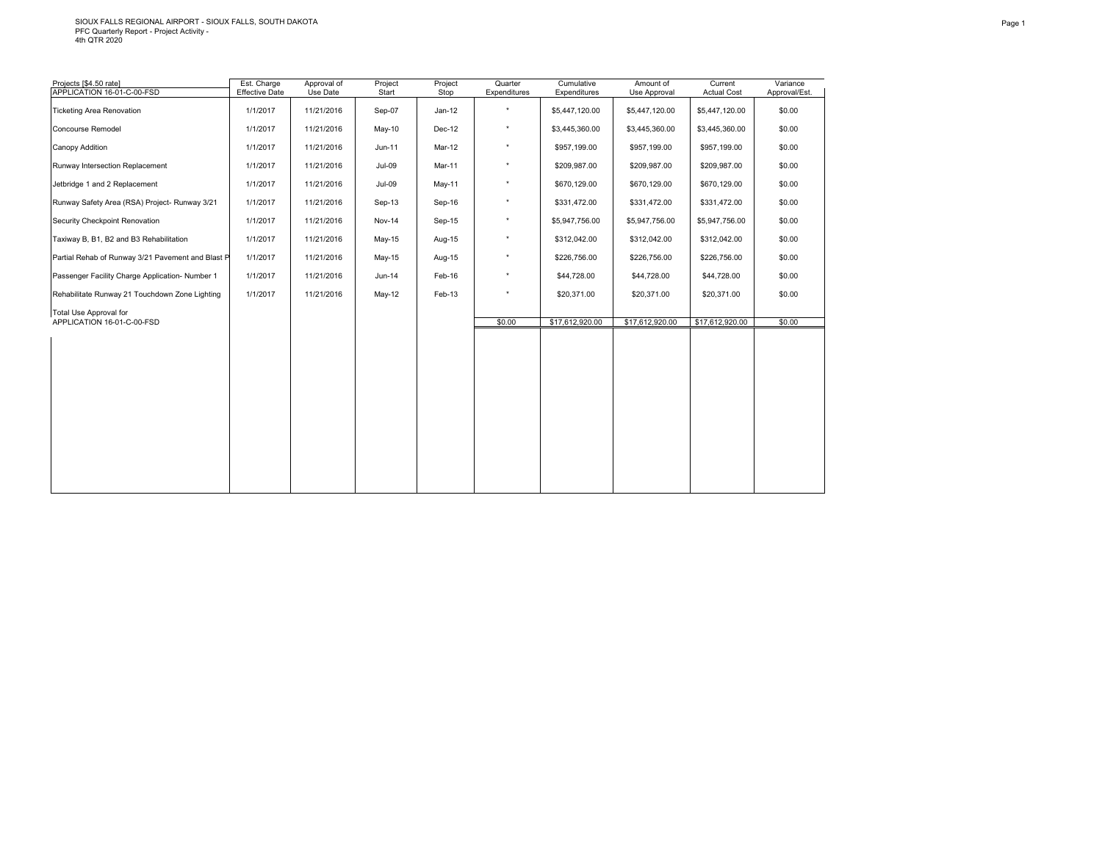# SIOUX FALLS REGIONAL AIRPORT - SIOUX FALLS, SOUTH DAKOTA PFC Quarterly Report - Project Activity - 4th QTR 2020

| Projects [\$4.50 rate]<br>APPLICATION 16-01-C-00-FSD | Est. Charge<br><b>Effective Date</b> | Approval of<br>Use Date | Project<br>Start | Project<br>Stop | Quarter<br>Expenditures | Cumulative<br>Expenditures | Amount of<br>Use Approval | Current<br><b>Actual Cost</b> | Variance<br>Approval/Est. |
|------------------------------------------------------|--------------------------------------|-------------------------|------------------|-----------------|-------------------------|----------------------------|---------------------------|-------------------------------|---------------------------|
|                                                      |                                      |                         |                  |                 |                         |                            |                           |                               |                           |
| <b>Ticketing Area Renovation</b>                     | 1/1/2017                             | 11/21/2016              | Sep-07           | $Jan-12$        | $^\star$                | \$5,447,120.00             | \$5,447,120.00            | \$5,447,120.00                | \$0.00                    |
| Concourse Remodel                                    | 1/1/2017                             | 11/21/2016              | May-10           | Dec-12          | $^\star$                | \$3,445,360.00             | \$3,445,360.00            | \$3,445,360.00                | \$0.00                    |
| Canopy Addition                                      | 1/1/2017                             | 11/21/2016              | Jun-11           | Mar-12          | $^\star$                | \$957,199.00               | \$957,199.00              | \$957,199.00                  | \$0.00                    |
| Runway Intersection Replacement                      | 1/1/2017                             | 11/21/2016              | Jul-09           | Mar-11          | $^\star$                | \$209,987.00               | \$209,987.00              | \$209,987.00                  | \$0.00                    |
| Jetbridge 1 and 2 Replacement                        | 1/1/2017                             | 11/21/2016              | $Jul-09$         | May-11          | $^\star$                | \$670,129.00               | \$670,129.00              | \$670,129.00                  | \$0.00                    |
| Runway Safety Area (RSA) Project- Runway 3/21        | 1/1/2017                             | 11/21/2016              | Sep-13           | Sep-16          | $^\star$                | \$331,472.00               | \$331,472.00              | \$331,472.00                  | \$0.00                    |
| Security Checkpoint Renovation                       | 1/1/2017                             | 11/21/2016              | Nov-14           | Sep-15          | $\star$                 | \$5,947,756.00             | \$5,947,756.00            | \$5,947,756.00                | \$0.00                    |
| Taxiway B, B1, B2 and B3 Rehabilitation              | 1/1/2017                             | 11/21/2016              | $May-15$         | Aug-15          | $\star$                 | \$312,042.00               | \$312,042.00              | \$312,042.00                  | \$0.00                    |
| Partial Rehab of Runway 3/21 Pavement and Blast P    | 1/1/2017                             | 11/21/2016              | May-15           | Aug-15          | $^\star$                | \$226,756.00               | \$226,756.00              | \$226,756.00                  | \$0.00                    |
| Passenger Facility Charge Application- Number 1      | 1/1/2017                             | 11/21/2016              | Jun-14           | Feb-16          | $^\star$                | \$44,728.00                | \$44,728.00               | \$44,728.00                   | \$0.00                    |
| Rehabilitate Runway 21 Touchdown Zone Lighting       | 1/1/2017                             | 11/21/2016              | <b>May-12</b>    | Feb-13          | $\star$                 | \$20,371.00                | \$20,371.00               | \$20,371.00                   | \$0.00                    |
| Total Use Approval for                               |                                      |                         |                  |                 |                         |                            |                           |                               |                           |
| APPLICATION 16-01-C-00-FSD                           |                                      |                         |                  |                 | \$0.00                  | \$17,612,920.00            | \$17,612,920.00           | \$17,612,920.00               | \$0.00                    |
|                                                      |                                      |                         |                  |                 |                         |                            |                           |                               |                           |
|                                                      |                                      |                         |                  |                 |                         |                            |                           |                               |                           |
|                                                      |                                      |                         |                  |                 |                         |                            |                           |                               |                           |
|                                                      |                                      |                         |                  |                 |                         |                            |                           |                               |                           |
|                                                      |                                      |                         |                  |                 |                         |                            |                           |                               |                           |
|                                                      |                                      |                         |                  |                 |                         |                            |                           |                               |                           |
|                                                      |                                      |                         |                  |                 |                         |                            |                           |                               |                           |
|                                                      |                                      |                         |                  |                 |                         |                            |                           |                               |                           |
|                                                      |                                      |                         |                  |                 |                         |                            |                           |                               |                           |
|                                                      |                                      |                         |                  |                 |                         |                            |                           |                               |                           |
|                                                      |                                      |                         |                  |                 |                         |                            |                           |                               |                           |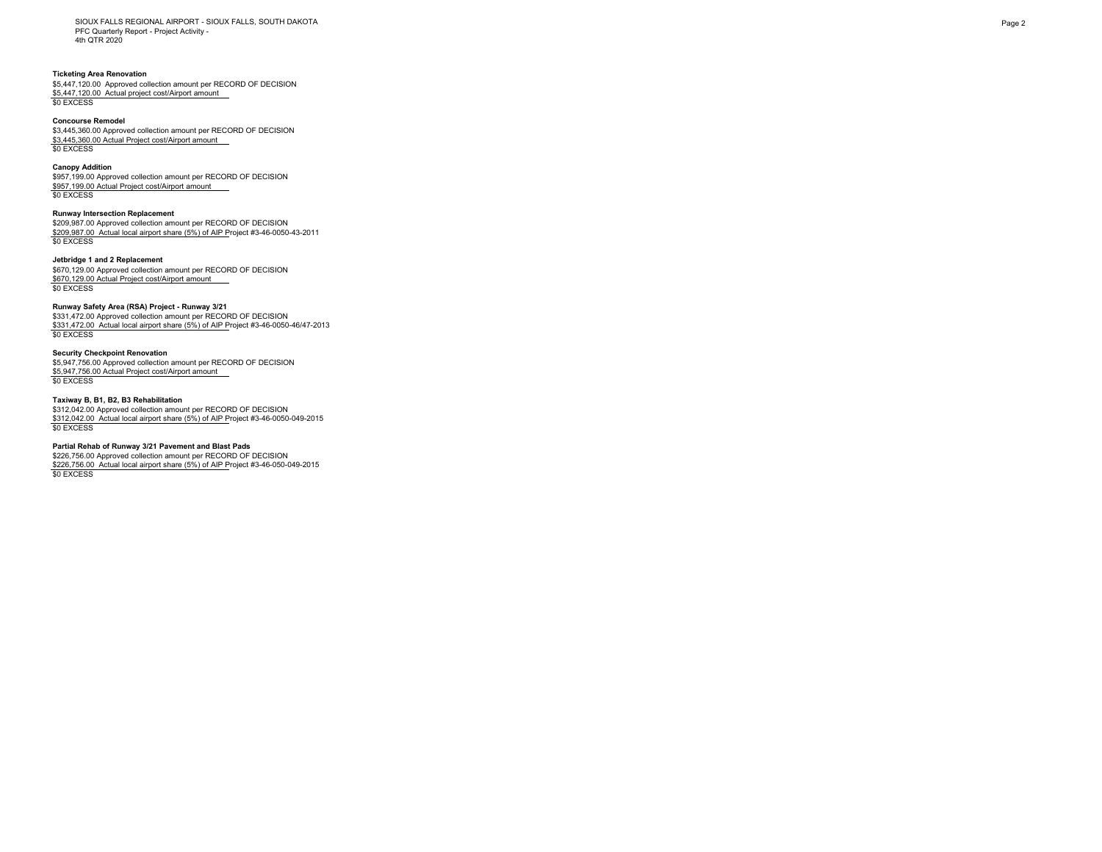SIOUX FALLS REGIONAL AIRPORT - SIOUX FALLS, SOUTH DAKOTA PFC Quarterly Report - Project Activity - 4th QTR 2020

## **Ticketing Area Renovation**

\$5,447,120.00 Approved collection amount per RECORD OF DECISION \$5,447,120.00 Actual project cost/Airport amount \$0 EXCESS

### **Concourse Remodel**

\$3,445,360.00 Approved collection amount per RECORD OF DECISION \$3,445,360.00 Actual Project cost/Airport amount \$0 EXCESS

### **Canopy Addition**

\$957,199.00 Approved collection amount per RECORD OF DECISION \$957,199.00 Actual Project cost/Airport amount \$0 EXCESS

# **Runway Intersection Replacement**

\$209,987.00 Approved collection amount per RECORD OF DECISION \$209,987.00 Actual local airport share (5%) of AIP Project #3-46-0050-43-2011 \$0 EXCESS

## **Jetbridge 1 and 2 Replacement**

\$670,129.00 Approved collection amount per RECORD OF DECISION \$670,129.00 Actual Project cost/Airport amount \$0 EXCESS

### **Runway Safety Area (RSA) Project - Runway 3/21**

\$331,472.00 Approved collection amount per RECORD OF DECISION \$331,472.00 Actual local airport share (5%) of AIP Project #3-46-0050-46/47-2013 \$0 EXCESS

# **Security Checkpoint Renovation**

\$5,947,756.00 Approved collection amount per RECORD OF DECISION \$5,947,756.00 Actual Project cost/Airport amount \$0 EXCESS

## **Taxiway B, B1, B2, B3 Rehabilitation**

\$312,042.00 Approved collection amount per RECORD OF DECISION \$312,042.00 Actual local airport share (5%) of AIP Project #3-46-0050-049-2015 \$0 EXCESS

## **Partial Rehab of Runway 3/21 Pavement and Blast Pads**

\$226,756.00 Approved collection amount per RECORD OF DECISION \$226,756.00 Actual local airport share (5%) of AIP Project #3-46-050-049-2015 \$0 EXCESS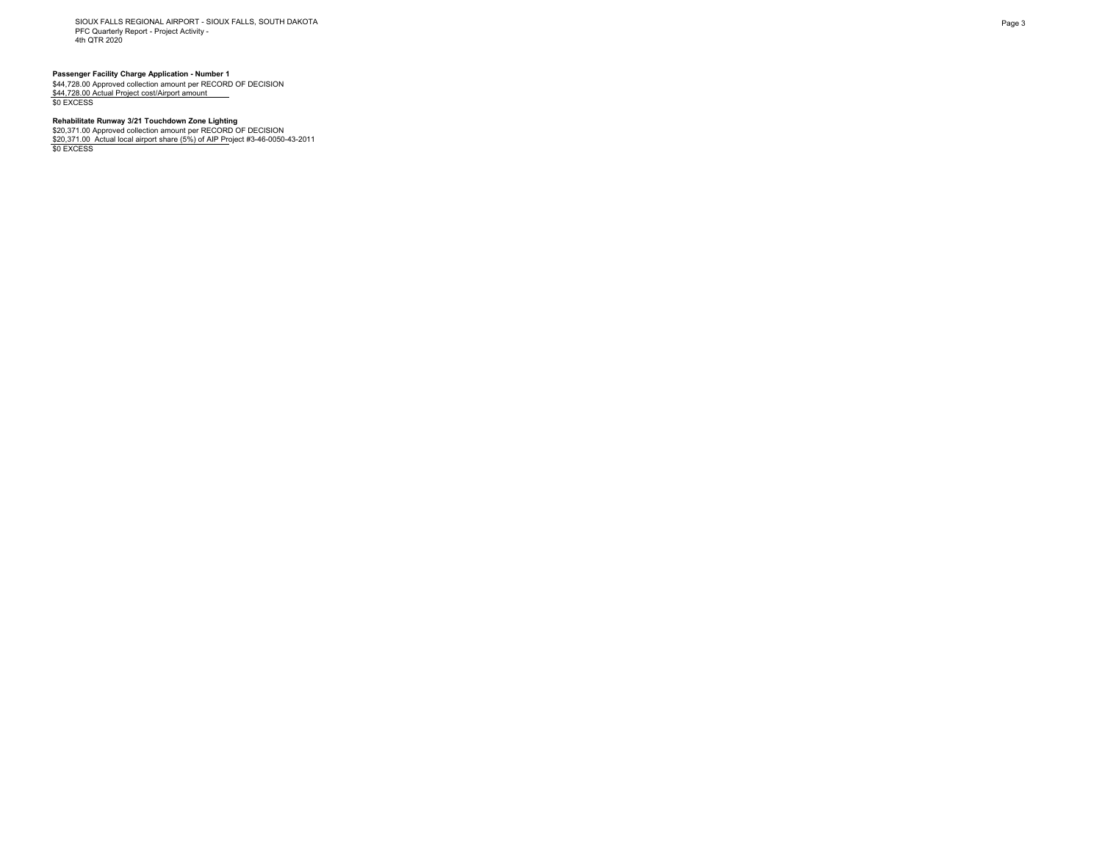SIOUX FALLS REGIONAL AIRPORT - SIOUX FALLS, SOUTH DAKOTA PFC Quarterly Report - Project Activity - 4th QTR 2020

**Passenger Facility Charge Application - Number 1<br>\$44,728.00 Approved collection amount per RECORD OF DECISION<br><u>\$44,728.00 Actual Project cost/Airport amount \_\_\_</u><br>\$0 EXCESS** 

# **Rehabilitate Runway 3/21 Touchdown Zone Lighting**

\$20,371.00 Approved collection amount per RECORD OF DECISION<br><u>\$20,371.00\_Actual local airport share (5%) of AIP Pr</u>oject #3-46-0050-43-2011<br>\$0 EXCESS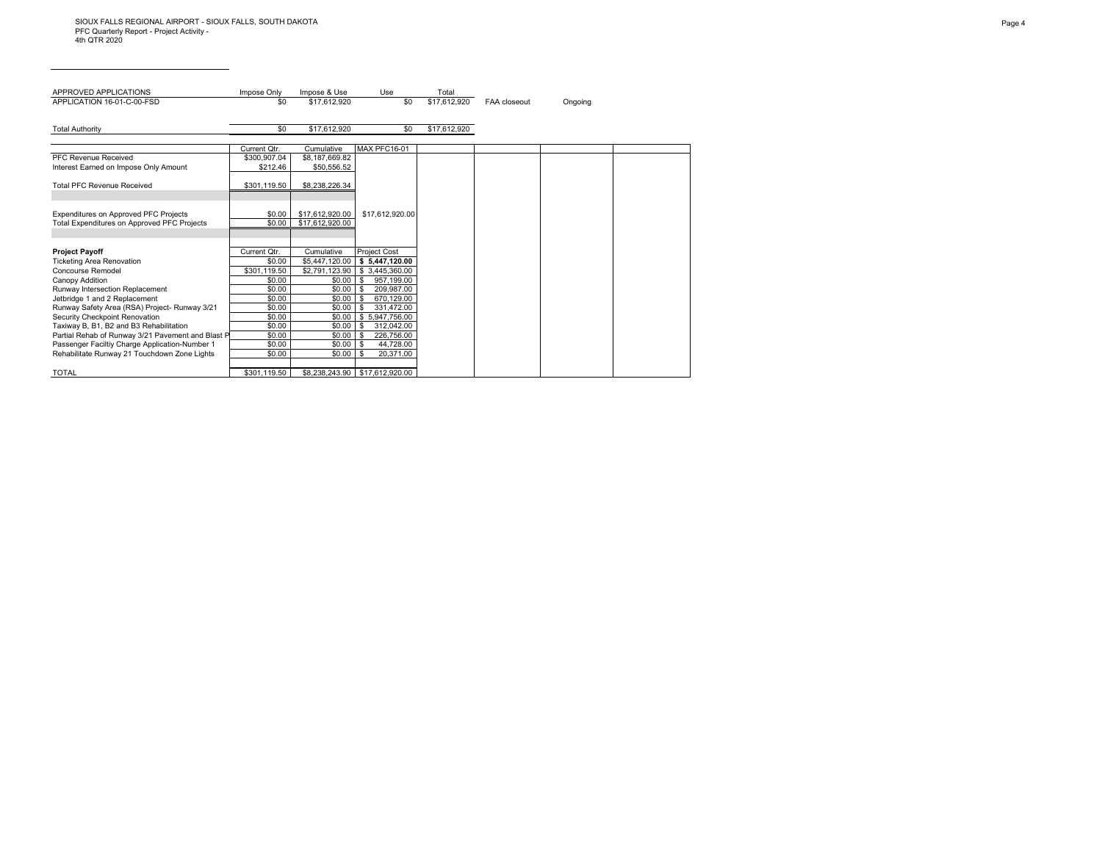| APPROVED APPLICATIONS                             | Impose Only  | Impose & Use    | Use                    | Total        |                     |         |
|---------------------------------------------------|--------------|-----------------|------------------------|--------------|---------------------|---------|
| APPLICATION 16-01-C-00-FSD                        | \$0          | \$17.612.920    | \$0                    | \$17.612.920 | <b>FAA</b> closeout | Ongoing |
|                                                   |              |                 |                        |              |                     |         |
| <b>Total Authority</b>                            | \$0          | \$17,612,920    | \$0                    | \$17,612,920 |                     |         |
|                                                   |              |                 |                        |              |                     |         |
|                                                   | Current Qtr. | Cumulative      | <b>MAX PFC16-01</b>    |              |                     |         |
| PFC Revenue Received                              | \$300.907.04 | \$8,187,669.82  |                        |              |                     |         |
| Interest Earned on Impose Only Amount             | \$212.46     | \$50,556.52     |                        |              |                     |         |
|                                                   |              |                 |                        |              |                     |         |
| <b>Total PFC Revenue Received</b>                 | \$301,119.50 | \$8,238,226.34  |                        |              |                     |         |
|                                                   |              |                 |                        |              |                     |         |
| Expenditures on Approved PFC Projects             | \$0.00       | \$17,612,920.00 | \$17,612,920.00        |              |                     |         |
| Total Expenditures on Approved PFC Projects       | \$0.00       | \$17.612.920.00 |                        |              |                     |         |
|                                                   |              |                 |                        |              |                     |         |
|                                                   |              |                 |                        |              |                     |         |
| <b>Project Payoff</b>                             | Current Otr. | Cumulative      | <b>Project Cost</b>    |              |                     |         |
| <b>Ticketing Area Renovation</b>                  | \$0.00       | \$5,447,120.00  | \$5,447,120.00         |              |                     |         |
| Concourse Remodel                                 | \$301.119.50 | \$2.791.123.90  | \$3.445.360.00         |              |                     |         |
| Canopy Addition                                   | \$0.00       | \$0.00          | 957,199.00<br><b>S</b> |              |                     |         |
| Runway Intersection Replacement                   | \$0.00       | \$0.00          | 209.987.00<br>- \$     |              |                     |         |
| Jetbridge 1 and 2 Replacement                     | \$0.00       | \$0.00          | 670,129.00<br>- \$     |              |                     |         |
| Runway Safety Area (RSA) Project- Runway 3/21     | \$0.00       | \$0.00          | 331.472.00<br>- \$     |              |                     |         |
| Security Checkpoint Renovation                    | \$0.00       | \$0.00          | \$5,947,756.00         |              |                     |         |
| Taxiway B, B1, B2 and B3 Rehabilitation           | \$0.00       | \$0.00          | - \$<br>312,042.00     |              |                     |         |
| Partial Rehab of Runway 3/21 Pavement and Blast P | \$0.00       | \$0.00          | 226,756.00<br>-S       |              |                     |         |
| Passenger Faciltiy Charge Application-Number 1    | \$0.00       | \$0.00          | 44,728.00<br>- \$      |              |                     |         |
| Rehabilitate Runway 21 Touchdown Zone Lights      | \$0.00       | \$0.00          | 20,371.00<br>l \$      |              |                     |         |
| <b>TOTAL</b>                                      | \$301.119.50 |                 |                        |              |                     |         |